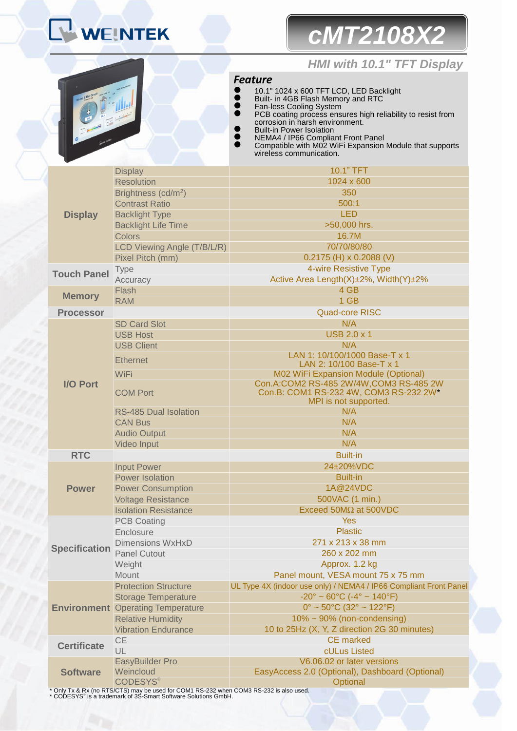## **WEINTEK**

# *cMT2108X2*

### *HMI with 10.1" TFT Display*

#### *Feature*

**Display** Display 10.1" TFT Resolution **1024 x 600** Brightness (cd/m<sup>2</sup> ) and the set of the set of the set of  $350$ **Contrast Ratio** 600:1 Backlight Type LED Backlight Life Time  $>50,000$  hrs. Colors 16.7M LCD Viewing Angle (T/B/L/R) 70/70/80/80 Pixel Pitch (mm) 0.2175 (H) x 0.2088 (V) **Touch Panel** Type **1988** 4-wire Resistive Type **4-million Accuracy** 4-wire Resistive Type Active Area Length(X)±2%, Width(Y)±2% **Memory** Flash 4 GB **1.1 Apr 2019** RAM **1 GB** and 1 GB and 1 GB and 1 GB and 1 GB and 1 GB and 1 GB and 1 GB and 1 GB and 1 GB and 1 GB **Processor** Quad-core RISC **I/O Port** SD Card Slot N/A USB Host **USB 2.0 x 1** USB Client N/A Ethernet LAN 1: 10/100/1000 Base-T x 1 LAN 2: 10/100 Base-T x 1 WiFi **M02 WiFi Expansion Module (Optional)** M02 WiFi Expansion Module (Optional) COM Port Con.A:COM2 RS-485 2W/4W,COM3 RS-485 2W Con.B: COM1 RS-232 4W, COM3 RS-232 2W\* MPI is not supported. RS-485 Dual Isolation N/A CAN Bus N/A Audio Output N/A Video Input N/A **RTC** Built-in **Power** Input Power 24±20%VDC Power Isolation **Built-in** Built-in Power Consumption 1A@24VDC Voltage Resistance **1988** Solvace 1 Min.)  $Isolation Resistance$  Exceed 50M $\Omega$  at 500VDC **Specification** PCB Coating The Control of the Control of the Control of the Control of the Control of the Control of the Control of the Control of the Control of the Control of the Control of the Control of the Control of the Control of Enclosure **Plastic** Dimensions WxHxD 271 x 213 x 38 mm Panel Cutout 260 x 202 mm Weight **Approx. 1.2 kg** Mount Panel mount, VESA mount 75 x 75 mm **Environment** Operating Temperature **1996** 122°F) Protection Structure UL Type 4X (indoor use only) / NEMA4 / IP66 Compliant Front Panel Storage Temperature  $-20^\circ \sim 60^\circ \text{C}$  (-4° ~ 140°F) Relative Humidity **10% ~ 90% (non-condensing)** Vibration Endurance 10 to 25Hz (X, Y, Z direction 2G 30 minutes) **CE CE CE CE CE CE CE CE CE CE TABLE CE MARKED AND CE MARKED OF TABLE CE MARKED OF TABLE CE MARKED OF TABLE CE MARKED OF TABLE CONTINUES.** UL cULus Listed **Software** EasyBuilder Pro V6.06.02 or later versions Weincloud EasyAccess 2.0 (Optional), Dashboard (Optional) **CODESYS® Optional** 10.1" 1024 x 600 TFT LCD, LED Backlight Built- in 4GB Flash Memory and RTC Fan-less Cooling System PCB coating process ensures high reliability to resist from corrosion in harsh environment. Built-in Power Isolation **NEMA4 / IP66 Compliant Front Panel** ● Compatible with M02 WiFi Expansion Module that supports wireless communication.

\* Only Tx & Rx (no RTS/CTS) may be used for COM1 RS-232 when COM3 RS-232 is also used. \* CODESYS® is a trademark of 3S-Smart Software Solutions GmbH.